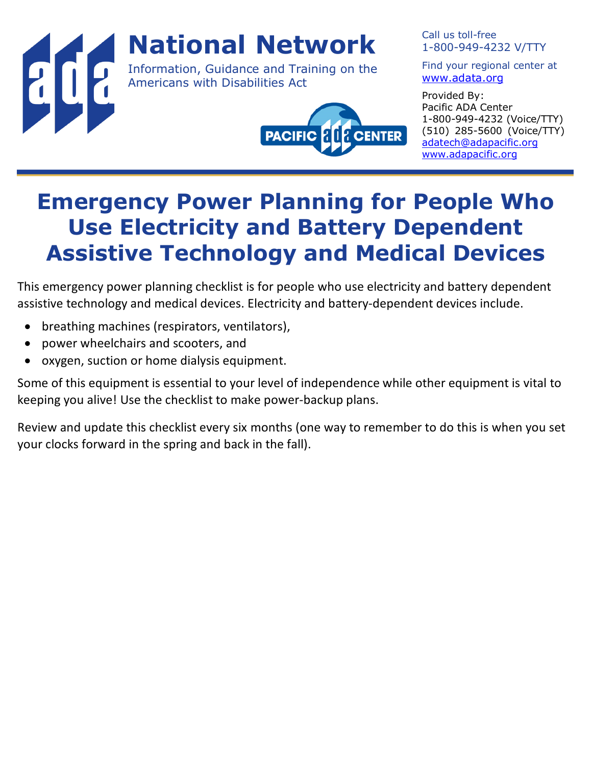

Call us toll-free 1-800-949-4232 V/TTY

Find your regional center at www.adata.org

Provided By: Pacific ADA Center 1-800-949-4232 (Voice/TTY) (510) 285-5600 (Voice/TTY) adatech@adapacific.org www.adapacific.org

## **Emergency Power Planning for People Who Use Electricity and Battery Dependent Assistive Technology and Medical Devices**

This emergency power planning checklist is for people who use electricity and battery dependent assistive technology and medical devices. Electricity and battery-dependent devices include.

- breathing machines (respirators, ventilators),
- power wheelchairs and scooters, and
- oxygen, suction or home dialysis equipment.

Some of this equipment is essential to your level of independence while other equipment is vital to keeping you alive! Use the checklist to make power-backup plans.

Review and update this checklist every six months (one way to remember to do this is when you set your clocks forward in the spring and back in the fall).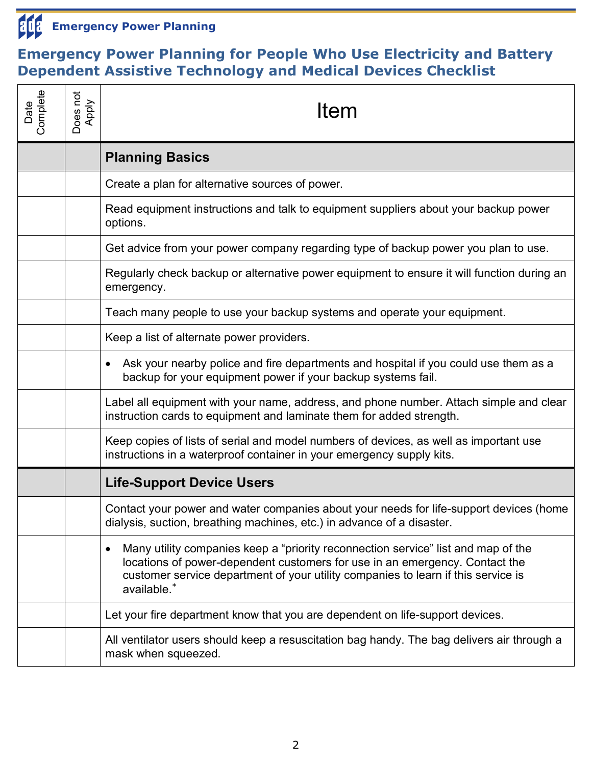

## **Emergency Power Planning for People Who Use Electricity and Battery Dependent Assistive Technology and Medical Devices Checklist**

| Date<br>Complete | Does not<br>Apply | Item                                                                                                                                                                                                                                                                      |  |  |
|------------------|-------------------|---------------------------------------------------------------------------------------------------------------------------------------------------------------------------------------------------------------------------------------------------------------------------|--|--|
|                  |                   | <b>Planning Basics</b>                                                                                                                                                                                                                                                    |  |  |
|                  |                   | Create a plan for alternative sources of power.                                                                                                                                                                                                                           |  |  |
|                  |                   | Read equipment instructions and talk to equipment suppliers about your backup power<br>options.                                                                                                                                                                           |  |  |
|                  |                   | Get advice from your power company regarding type of backup power you plan to use.                                                                                                                                                                                        |  |  |
|                  |                   | Regularly check backup or alternative power equipment to ensure it will function during an<br>emergency.                                                                                                                                                                  |  |  |
|                  |                   | Teach many people to use your backup systems and operate your equipment.                                                                                                                                                                                                  |  |  |
|                  |                   | Keep a list of alternate power providers.                                                                                                                                                                                                                                 |  |  |
|                  |                   | Ask your nearby police and fire departments and hospital if you could use them as a<br>backup for your equipment power if your backup systems fail.                                                                                                                       |  |  |
|                  |                   | Label all equipment with your name, address, and phone number. Attach simple and clear<br>instruction cards to equipment and laminate them for added strength.                                                                                                            |  |  |
|                  |                   | Keep copies of lists of serial and model numbers of devices, as well as important use<br>instructions in a waterproof container in your emergency supply kits.                                                                                                            |  |  |
|                  |                   | <b>Life-Support Device Users</b>                                                                                                                                                                                                                                          |  |  |
|                  |                   | Contact your power and water companies about your needs for life-support devices (home<br>dialysis, suction, breathing machines, etc.) in advance of a disaster.                                                                                                          |  |  |
|                  |                   | Many utility companies keep a "priority reconnection service" list and map of the<br>٠<br>locations of power-dependent customers for use in an emergency. Contact the<br>customer service department of your utility companies to learn if this service is<br>available.* |  |  |
|                  |                   | Let your fire department know that you are dependent on life-support devices.                                                                                                                                                                                             |  |  |
|                  |                   | All ventilator users should keep a resuscitation bag handy. The bag delivers air through a<br>mask when squeezed.                                                                                                                                                         |  |  |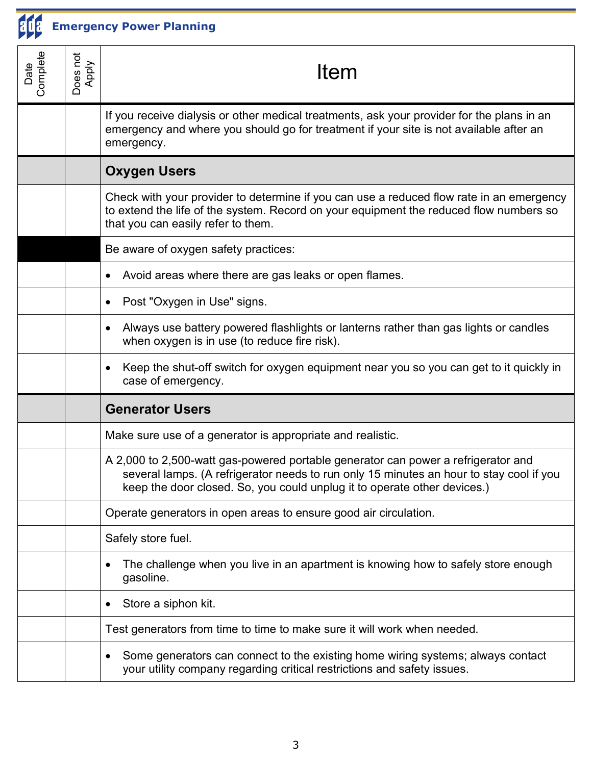

**Emergency Power Planning**

| Date<br>Complete | Does not<br>Apply | Item                                                                                                                                                                                                                                                     |  |
|------------------|-------------------|----------------------------------------------------------------------------------------------------------------------------------------------------------------------------------------------------------------------------------------------------------|--|
|                  |                   | If you receive dialysis or other medical treatments, ask your provider for the plans in an<br>emergency and where you should go for treatment if your site is not available after an<br>emergency.                                                       |  |
|                  |                   | <b>Oxygen Users</b>                                                                                                                                                                                                                                      |  |
|                  |                   | Check with your provider to determine if you can use a reduced flow rate in an emergency<br>to extend the life of the system. Record on your equipment the reduced flow numbers so<br>that you can easily refer to them.                                 |  |
|                  |                   | Be aware of oxygen safety practices:                                                                                                                                                                                                                     |  |
|                  |                   | Avoid areas where there are gas leaks or open flames.                                                                                                                                                                                                    |  |
|                  |                   | Post "Oxygen in Use" signs.                                                                                                                                                                                                                              |  |
|                  |                   | Always use battery powered flashlights or lanterns rather than gas lights or candles<br>when oxygen is in use (to reduce fire risk).                                                                                                                     |  |
|                  |                   | Keep the shut-off switch for oxygen equipment near you so you can get to it quickly in<br>$\bullet$<br>case of emergency.                                                                                                                                |  |
|                  |                   | <b>Generator Users</b>                                                                                                                                                                                                                                   |  |
|                  |                   | Make sure use of a generator is appropriate and realistic.                                                                                                                                                                                               |  |
|                  |                   | A 2,000 to 2,500-watt gas-powered portable generator can power a refrigerator and<br>several lamps. (A refrigerator needs to run only 15 minutes an hour to stay cool if you<br>keep the door closed. So, you could unplug it to operate other devices.) |  |
|                  |                   | Operate generators in open areas to ensure good air circulation.                                                                                                                                                                                         |  |
|                  |                   | Safely store fuel.                                                                                                                                                                                                                                       |  |
|                  |                   | The challenge when you live in an apartment is knowing how to safely store enough<br>٠<br>gasoline.                                                                                                                                                      |  |
|                  |                   | Store a siphon kit.                                                                                                                                                                                                                                      |  |
|                  |                   | Test generators from time to time to make sure it will work when needed.                                                                                                                                                                                 |  |
|                  |                   | Some generators can connect to the existing home wiring systems; always contact<br>your utility company regarding critical restrictions and safety issues.                                                                                               |  |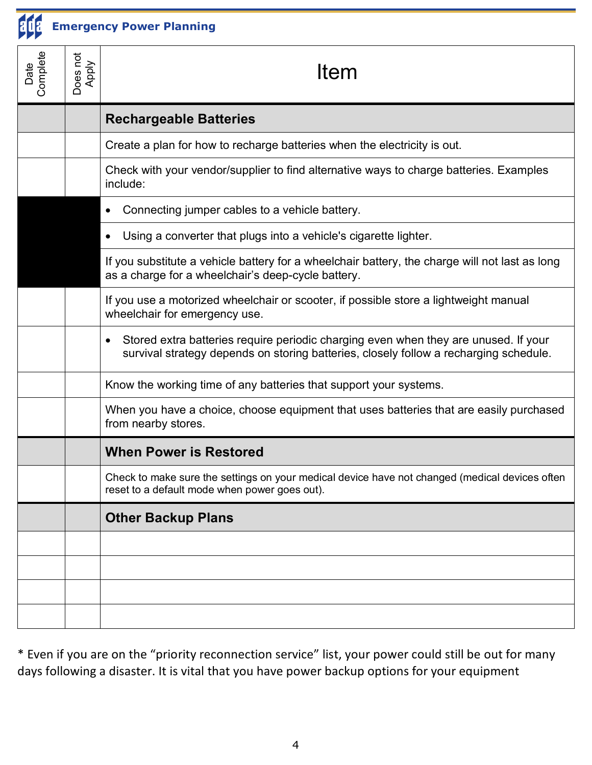

**Emergency Power Planning**

| Date<br>Complete | Does not<br>Apply | Item                                                                                                                                                                         |
|------------------|-------------------|------------------------------------------------------------------------------------------------------------------------------------------------------------------------------|
|                  |                   | <b>Rechargeable Batteries</b>                                                                                                                                                |
|                  |                   | Create a plan for how to recharge batteries when the electricity is out.                                                                                                     |
|                  |                   | Check with your vendor/supplier to find alternative ways to charge batteries. Examples<br>include:                                                                           |
|                  |                   | Connecting jumper cables to a vehicle battery.                                                                                                                               |
|                  |                   | Using a converter that plugs into a vehicle's cigarette lighter.                                                                                                             |
|                  |                   | If you substitute a vehicle battery for a wheelchair battery, the charge will not last as long<br>as a charge for a wheelchair's deep-cycle battery.                         |
|                  |                   | If you use a motorized wheelchair or scooter, if possible store a lightweight manual<br>wheelchair for emergency use.                                                        |
|                  |                   | Stored extra batteries require periodic charging even when they are unused. If your<br>survival strategy depends on storing batteries, closely follow a recharging schedule. |
|                  |                   | Know the working time of any batteries that support your systems.                                                                                                            |
|                  |                   | When you have a choice, choose equipment that uses batteries that are easily purchased<br>from nearby stores.                                                                |
|                  |                   | <b>When Power is Restored</b>                                                                                                                                                |
|                  |                   | Check to make sure the settings on your medical device have not changed (medical devices often<br>reset to a default mode when power goes out).                              |
|                  |                   | <b>Other Backup Plans</b>                                                                                                                                                    |
|                  |                   |                                                                                                                                                                              |
|                  |                   |                                                                                                                                                                              |
|                  |                   |                                                                                                                                                                              |
|                  |                   |                                                                                                                                                                              |

\* Even if you are on the "priority reconnection service" list, your power could still be out for many days following a disaster. It is vital that you have power backup options for your equipment